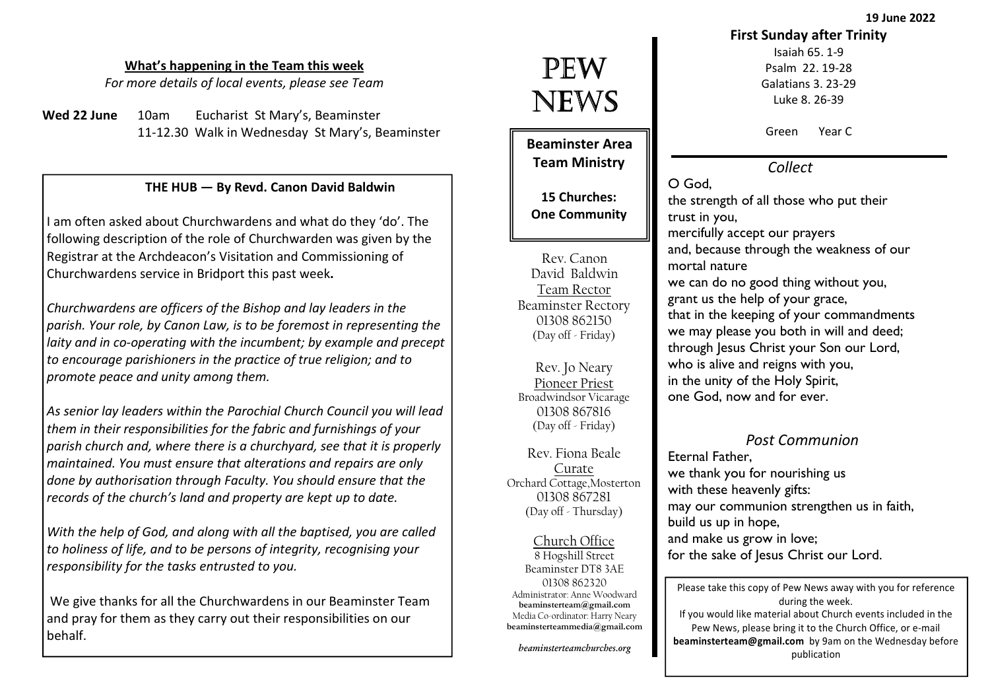19 June 2022

#### What's happening in the Team this week

For more details of local events, please see Team

Wed  $22$  June  $10$ am Eucharist St Mary's, Beaminster 11-12.30 Walk in Wednesday St Mary's, Beaminster

#### THE HUB — By Revd. Canon David Baldwin

I am often asked about Churchwardens and what do they 'do'. The following description of the role of Churchwarden was given by the Registrar at the Archdeacon's Visitation and Commissioning of Churchwardens service in Bridport this past week.

Churchwardens are officers of the Bishop and lay leaders in the parish. Your role, by Canon Law, is to be foremost in representing the laity and in co-operating with the incumbent; by example and precept to encourage parishioners in the practice of true religion; and to promote peace and unity among them.

As senior lay leaders within the Parochial Church Council you will lead them in their responsibilities for the fabric and furnishings of your parish church and, where there is a churchyard, see that it is properly maintained. You must ensure that alterations and repairs are only done by authorisation through Faculty. You should ensure that the records of the church's land and property are kept up to date.

With the help of God, and along with all the baptised, you are called to holiness of life, and to be persons of integrity, recognising your responsibility for the tasks entrusted to you.

 We give thanks for all the Churchwardens in our Beaminster Team and pray for them as they carry out their responsibilities on our behalf.

# PEW NEWS

Beaminster Area Team Ministry

15 Churches: One Community

Rev. Canon David Baldwin Team Rector Beaminster Rectory 01308 862150 (Day off - Friday)

Rev. Jo Neary Pioneer Priest Broadwindsor Vicarage 01308 867816 (Day off - Friday)

Rev. Fiona Beale Curate Orchard Cottage,Mosterton 01308 867281(Day off - Thursday)

Church Office 8 Hogshill Street Beaminster DT8 3AE 01308 862320 Administrator: Anne Woodwardbeaminsterteam@gmail.com Media Co-ordinator: Harry Nearybeaminsterteammedia@gmail.com

beaminsterteamchurches.org

### First Sunday after Trinity

Isaiah 65. 1-9 Psalm 22. 19-28 Galatians 3. 23-29 Luke 8. 26-39

Green Year C

Collect

O God,

 the strength of all those who put their trust in you,

 mercifully accept our prayers and, because through the weakness of our mortal nature we can do no good thing without you, grant us the help of your grace, that in the keeping of your commandments

we may please you both in will and deed; through Jesus Christ your Son our Lord, who is alive and reigns with you, in the unity of the Holy Spirit, one God, now and for ever.

#### Post Communion

Eternal Father, we thank you for nourishing us with these heavenly gifts: may our communion strengthen us in faith, build us up in hope, and make us grow in love; for the sake of Jesus Christ our Lord.

Please take this copy of Pew News away with you for reference during the week. If you would like material about Church events included in the Pew News, please bring it to the Church Office, or e-mail beaminsterteam@gmail.com by 9am on the Wednesday before publication